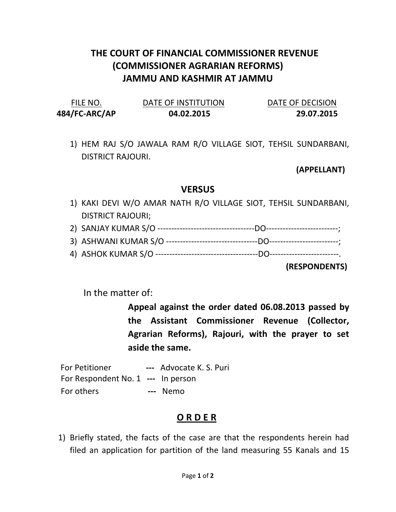## THE COURT OF FINANCIAL COMMISSIONER REVENUE (COMMISSIONER AGRARIAN REFORMS) JAMMU AND KASHMIR AT JAMMU

| FILE NO.      | DATE OF INSTITUTION | DATE OF DECISION |
|---------------|---------------------|------------------|
| 484/FC-ARC/AP | 04.02.2015          | 29.07.2015       |

1) HEM RAJ S/O JAWALA RAM R/O VILLAGE SIOT, TEHSIL SUNDARBANI, DISTRICT RAJOURI.

(APPELLANT)

## **VERSUS**

- 1) KAKI DEVI W/O AMAR NATH R/O VILLAGE SIOT, TEHSIL SUNDARBANI, DISTRICT RAJOURI;
- 2) SANJAY KUMAR S/O -----------------------------------DO--------------------------;
- 3) ASHWANI KUMAR S/O ---------------------------------DO-------------------------;
- 4) ASHOK KUMAR S/O -------------------------------------DO-------------------------.

(RESPONDENTS)

In the matter of:

Appeal against the order dated 06.08.2013 passed by the Assistant Commissioner Revenue (Collector, Agrarian Reforms), Rajouri, with the prayer to set aside the same.

For Petitioner --- Advocate K. S. Puri For Respondent No. 1 --- In person For others **---** Nemo

## O R D E R

1) Briefly stated, the facts of the case are that the respondents herein had filed an application for partition of the land measuring 55 Kanals and 15